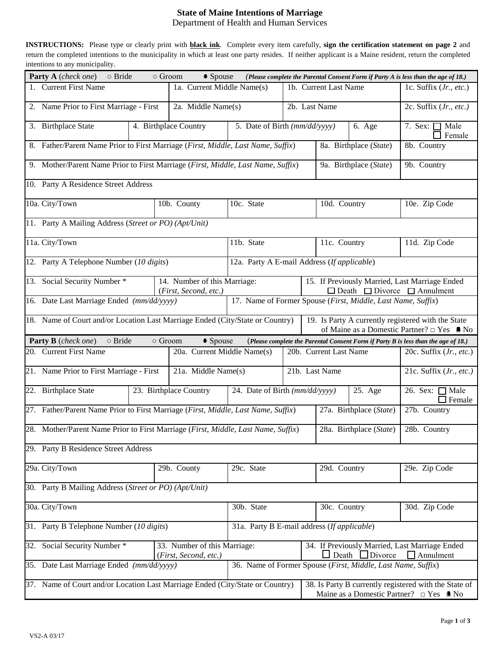## **State of Maine Intentions of Marriage**

Department of Health and Human Services

**INSTRUCTIONS:** Please type or clearly print with **black ink**. Complete every item carefully, **sign the certification statement on page 2** and return the completed intentions to the municipality in which at least one party resides. If neither applicant is a Maine resident, return the completed intentions to any municipality.

| Party A (check one)<br>$\circ$ Bride<br>$\circ$ Groom<br>• Spouse<br>(Please complete the Parental Consent Form if Party A is less than the age of 18.)                                             |                                                                                                                           |                                                                                                                    |              |                                         |                          |                                                                                                |                                       |  |  |  |  |  |
|-----------------------------------------------------------------------------------------------------------------------------------------------------------------------------------------------------|---------------------------------------------------------------------------------------------------------------------------|--------------------------------------------------------------------------------------------------------------------|--------------|-----------------------------------------|--------------------------|------------------------------------------------------------------------------------------------|---------------------------------------|--|--|--|--|--|
| 1. Current First Name                                                                                                                                                                               | 1a. Current Middle Name(s)                                                                                                |                                                                                                                    |              | 1b. Current Last Name                   | 1c. Suffix (Jr., etc.)   |                                                                                                |                                       |  |  |  |  |  |
| 2. Name Prior to First Marriage - First                                                                                                                                                             | 2a. Middle Name(s)                                                                                                        |                                                                                                                    |              | 2b. Last Name                           |                          | 2c. Suffix $(Jr, etc.)$                                                                        |                                       |  |  |  |  |  |
| 3. Birthplace State                                                                                                                                                                                 | 4. Birthplace Country                                                                                                     |                                                                                                                    |              | 5. Date of Birth (mm/dd/yyyy)<br>6. Age |                          |                                                                                                | 7. Sex: $\Box$ Male<br>$\Box$ Female  |  |  |  |  |  |
|                                                                                                                                                                                                     | 8. Father/Parent Name Prior to First Marriage (First, Middle, Last Name, Suffix)<br>8a. Birthplace (State)<br>8b. Country |                                                                                                                    |              |                                         |                          |                                                                                                |                                       |  |  |  |  |  |
| 9. Mother/Parent Name Prior to First Marriage (First, Middle, Last Name, Suffix)                                                                                                                    |                                                                                                                           |                                                                                                                    |              | 9a. Birthplace (State)                  | 9b. Country              |                                                                                                |                                       |  |  |  |  |  |
| 10. Party A Residence Street Address                                                                                                                                                                |                                                                                                                           |                                                                                                                    |              |                                         |                          |                                                                                                |                                       |  |  |  |  |  |
| 10a. City/Town                                                                                                                                                                                      |                                                                                                                           | 10c. State<br>10b. County                                                                                          |              |                                         | 10d. Country             |                                                                                                | 10e. Zip Code                         |  |  |  |  |  |
| 11. Party A Mailing Address (Street or PO) (Apt/Unit)                                                                                                                                               |                                                                                                                           |                                                                                                                    |              |                                         |                          |                                                                                                |                                       |  |  |  |  |  |
| 11a. City/Town                                                                                                                                                                                      |                                                                                                                           | 11b. State                                                                                                         |              | 11c. Country                            |                          | 11d. Zip Code                                                                                  |                                       |  |  |  |  |  |
| 12. Party A Telephone Number (10 digits)                                                                                                                                                            | 12a. Party A E-mail Address (If applicable)                                                                               |                                                                                                                    |              |                                         |                          |                                                                                                |                                       |  |  |  |  |  |
| 13. Social Security Number *                                                                                                                                                                        | (First, Second, etc.)                                                                                                     | 14. Number of this Marriage:                                                                                       |              |                                         |                          | 15. If Previously Married, Last Marriage Ended<br>$\Box$ Death $\Box$ Divorce $\Box$ Annulment |                                       |  |  |  |  |  |
| 16. Date Last Marriage Ended (mm/dd/yyyy)<br>17. Name of Former Spouse (First, Middle, Last Name, Suffix)                                                                                           |                                                                                                                           |                                                                                                                    |              |                                         |                          |                                                                                                |                                       |  |  |  |  |  |
| 18. Name of Court and/or Location Last Marriage Ended (City/State or Country)<br>19. Is Party A currently registered with the State<br>of Maine as a Domestic Partner? $\Box$ Yes $\blacksquare$ No |                                                                                                                           |                                                                                                                    |              |                                         |                          |                                                                                                |                                       |  |  |  |  |  |
| <b>Party B</b> (check one)<br>o Bride<br>• Spouse<br>$\circ$ Groom<br>(Please complete the Parental Consent Form if Party B is less than the age of 18.)                                            |                                                                                                                           |                                                                                                                    |              |                                         |                          |                                                                                                |                                       |  |  |  |  |  |
| 20. Current First Name                                                                                                                                                                              | 20a. Current Middle Name(s)<br>20b. Current Last Name                                                                     |                                                                                                                    |              |                                         | 20c. Suffix $(Jr, etc.)$ |                                                                                                |                                       |  |  |  |  |  |
| 21. Name Prior to First Marriage - First<br>21a. Middle Name(s)                                                                                                                                     |                                                                                                                           |                                                                                                                    |              |                                         | 21b. Last Name           |                                                                                                | 21c. Suffix (Jr., etc.)               |  |  |  |  |  |
| 22. Birthplace State                                                                                                                                                                                | 23. Birthplace Country                                                                                                    |                                                                                                                    |              | 24. Date of Birth (mm/dd/yyyy)          |                          |                                                                                                | 26. Sex: $\Box$ Male<br>$\Box$ Female |  |  |  |  |  |
| 27. Father/Parent Name Prior to First Marriage (First, Middle, Last Name, Suffix)                                                                                                                   |                                                                                                                           |                                                                                                                    |              |                                         |                          | 27a. Birthplace (State)                                                                        | 27b. Country                          |  |  |  |  |  |
| 28. Mother/Parent Name Prior to First Marriage (First, Middle, Last Name, Suffix)                                                                                                                   |                                                                                                                           |                                                                                                                    |              | 28a. Birthplace (State)                 | 28b. Country             |                                                                                                |                                       |  |  |  |  |  |
| 29. Party B Residence Street Address                                                                                                                                                                |                                                                                                                           |                                                                                                                    |              |                                         |                          |                                                                                                |                                       |  |  |  |  |  |
| 29a. City/Town                                                                                                                                                                                      |                                                                                                                           | 29b. County<br>29c. State                                                                                          |              |                                         | 29d. Country             |                                                                                                | 29e. Zip Code                         |  |  |  |  |  |
| 30. Party B Mailing Address (Street or PO) (Apt/Unit)                                                                                                                                               |                                                                                                                           |                                                                                                                    |              |                                         |                          |                                                                                                |                                       |  |  |  |  |  |
| 30a. City/Town                                                                                                                                                                                      | 30b. State                                                                                                                |                                                                                                                    | 30c. Country |                                         | 30d. Zip Code            |                                                                                                |                                       |  |  |  |  |  |
| 31. Party B Telephone Number (10 digits)                                                                                                                                                            | 31a. Party B E-mail address (If applicable)                                                                               |                                                                                                                    |              |                                         |                          |                                                                                                |                                       |  |  |  |  |  |
| Social Security Number *<br>33. Number of this Marriage:<br>32.                                                                                                                                     |                                                                                                                           | (First, Second, etc.)                                                                                              |              |                                         |                          | 34. If Previously Married, Last Marriage Ended<br>Death<br>$\Box$ Divorce<br>$\Box$ Annulment  |                                       |  |  |  |  |  |
| 35. Date Last Marriage Ended (mm/dd/yyyy)<br>36. Name of Former Spouse (First, Middle, Last Name, Suffix)                                                                                           |                                                                                                                           |                                                                                                                    |              |                                         |                          |                                                                                                |                                       |  |  |  |  |  |
| 37. Name of Court and/or Location Last Marriage Ended (City/State or Country)                                                                                                                       |                                                                                                                           | 38. Is Party B currently registered with the State of<br>Maine as a Domestic Partner? $\Box$ Yes $\blacksquare$ No |              |                                         |                          |                                                                                                |                                       |  |  |  |  |  |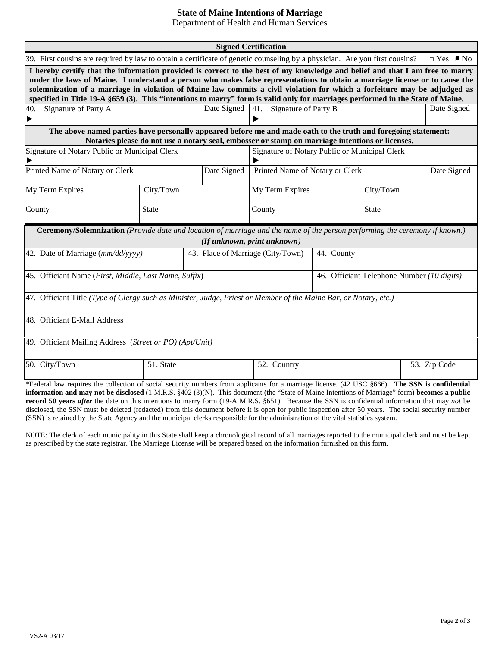## **State of Maine Intentions of Marriage**

Department of Health and Human Services

| <b>Signed Certification</b>                                                                                                                                                                                                                                                                                                                                                                                                                                                                                                |                                   |                                                                                                 |                             |                                            |             |  |  |  |  |  |  |
|----------------------------------------------------------------------------------------------------------------------------------------------------------------------------------------------------------------------------------------------------------------------------------------------------------------------------------------------------------------------------------------------------------------------------------------------------------------------------------------------------------------------------|-----------------------------------|-------------------------------------------------------------------------------------------------|-----------------------------|--------------------------------------------|-------------|--|--|--|--|--|--|
| 39. First cousins are required by law to obtain a certificate of genetic counseling by a physician. Are you first cousins?<br>$\Box$ Yes $\blacksquare$ No                                                                                                                                                                                                                                                                                                                                                                 |                                   |                                                                                                 |                             |                                            |             |  |  |  |  |  |  |
| I hereby certify that the information provided is correct to the best of my knowledge and belief and that I am free to marry<br>under the laws of Maine. I understand a person who makes false representations to obtain a marriage license or to cause the<br>solemnization of a marriage in violation of Maine law commits a civil violation for which a forfeiture may be adjudged as<br>specified in Title 19-A §659 (3). This "intentions to marry" form is valid only for marriages performed in the State of Maine. |                                   |                                                                                                 |                             |                                            |             |  |  |  |  |  |  |
| Signature of Party A<br>40.                                                                                                                                                                                                                                                                                                                                                                                                                                                                                                | Date Signed                       | Signature of Party B<br>41.                                                                     |                             | Date Signed                                |             |  |  |  |  |  |  |
| The above named parties have personally appeared before me and made oath to the truth and foregoing statement:                                                                                                                                                                                                                                                                                                                                                                                                             |                                   | ▶                                                                                               |                             |                                            |             |  |  |  |  |  |  |
|                                                                                                                                                                                                                                                                                                                                                                                                                                                                                                                            |                                   | Notaries please do not use a notary seal, embosser or stamp on marriage intentions or licenses. |                             |                                            |             |  |  |  |  |  |  |
| Signature of Notary Public or Municipal Clerk                                                                                                                                                                                                                                                                                                                                                                                                                                                                              |                                   | Signature of Notary Public or Municipal Clerk                                                   |                             |                                            |             |  |  |  |  |  |  |
| Printed Name of Notary or Clerk                                                                                                                                                                                                                                                                                                                                                                                                                                                                                            | Date Signed                       | Printed Name of Notary or Clerk                                                                 |                             |                                            | Date Signed |  |  |  |  |  |  |
| My Term Expires                                                                                                                                                                                                                                                                                                                                                                                                                                                                                                            | City/Town                         |                                                                                                 | My Term Expires             |                                            | City/Town   |  |  |  |  |  |  |
| County<br><b>State</b>                                                                                                                                                                                                                                                                                                                                                                                                                                                                                                     |                                   |                                                                                                 | County                      |                                            | State       |  |  |  |  |  |  |
| <b>Ceremony/Solemnization</b> (Provide date and location of marriage and the name of the person performing the ceremony if known.)                                                                                                                                                                                                                                                                                                                                                                                         |                                   |                                                                                                 | (If unknown, print unknown) |                                            |             |  |  |  |  |  |  |
| 42. Date of Marriage (mm/dd/yyyy)                                                                                                                                                                                                                                                                                                                                                                                                                                                                                          | 43. Place of Marriage (City/Town) |                                                                                                 | 44. County                  |                                            |             |  |  |  |  |  |  |
| 45. Officiant Name (First, Middle, Last Name, Suffix)                                                                                                                                                                                                                                                                                                                                                                                                                                                                      |                                   |                                                                                                 |                             | 46. Officiant Telephone Number (10 digits) |             |  |  |  |  |  |  |
| 47. Officiant Title (Type of Clergy such as Minister, Judge, Priest or Member of the Maine Bar, or Notary, etc.)                                                                                                                                                                                                                                                                                                                                                                                                           |                                   |                                                                                                 |                             |                                            |             |  |  |  |  |  |  |
| 48. Officiant E-Mail Address                                                                                                                                                                                                                                                                                                                                                                                                                                                                                               |                                   |                                                                                                 |                             |                                            |             |  |  |  |  |  |  |
| 49. Officiant Mailing Address (Street or PO) (Apt/Unit)                                                                                                                                                                                                                                                                                                                                                                                                                                                                    |                                   |                                                                                                 |                             |                                            |             |  |  |  |  |  |  |
| 50. City/Town                                                                                                                                                                                                                                                                                                                                                                                                                                                                                                              | 51. State                         |                                                                                                 |                             | 52. Country                                |             |  |  |  |  |  |  |
| *Federal law requires the collection of social security numbers from applicants for a marriage license. (42 USC §666). The SSN is confidential                                                                                                                                                                                                                                                                                                                                                                             |                                   |                                                                                                 |                             |                                            |             |  |  |  |  |  |  |

**information and may not be disclosed** (1 M.R.S. §402 (3)(N). This document (the "State of Maine Intentions of Marriage" form) **becomes a public record 50 years** *after* the date on this intentions to marry form (19-A M.R.S. §651). Because the SSN is confidential information that may *not* be disclosed, the SSN must be deleted (redacted) from this document before it is open for public inspection after 50 years. The social security number (SSN) is retained by the State Agency and the municipal clerks responsible for the administration of the vital statistics system.

NOTE: The clerk of each municipality in this State shall keep a chronological record of all marriages reported to the municipal clerk and must be kept as prescribed by the state registrar. The Marriage License will be prepared based on the information furnished on this form.